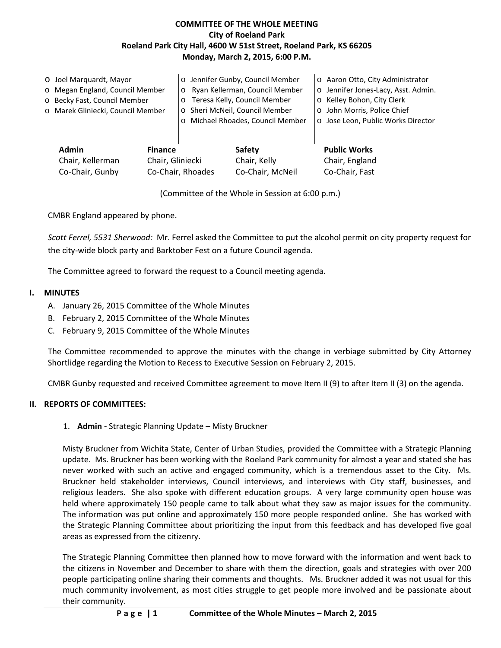# **COMMITTEE OF THE WHOLE MEETING City of Roeland Park Roeland Park City Hall, 4600 W 51st Street, Roeland Park, KS 66205 Monday, March 2, 2015, 6:00 P.M.**

|                                                         | O Joel Marquardt, Mayor<br>o Megan England, Council Member<br>o Becky Fast, Council Member<br>o Marek Gliniecki, Council Member<br><b>Admin</b><br><b>Finance</b> |                   | o Jennifer Gunby, Council Member<br>o Ryan Kellerman, Council Member<br>Teresa Kelly, Council Member<br>$\circ$<br>o Sheri McNeil, Council Member<br>o Michael Rhoades, Council Member |                | o Aaron Otto, City Administrator<br>o Jennifer Jones-Lacy, Asst. Admin.<br>o Kelley Bohon, City Clerk<br>o John Morris, Police Chief<br>o Jose Leon, Public Works Director |
|---------------------------------------------------------|-------------------------------------------------------------------------------------------------------------------------------------------------------------------|-------------------|----------------------------------------------------------------------------------------------------------------------------------------------------------------------------------------|----------------|----------------------------------------------------------------------------------------------------------------------------------------------------------------------------|
|                                                         |                                                                                                                                                                   |                   | Safety<br>Chair, Kelly                                                                                                                                                                 |                | <b>Public Works</b><br>Chair, England                                                                                                                                      |
| Chair, Gliniecki<br>Chair, Kellerman<br>Co-Chair, Gunby |                                                                                                                                                                   | Co-Chair, Rhoades | Co-Chair, McNeil                                                                                                                                                                       | Co-Chair, Fast |                                                                                                                                                                            |

(Committee of the Whole in Session at 6:00 p.m.)

CMBR England appeared by phone.

*Scott Ferrel, 5531 Sherwood:* Mr. Ferrel asked the Committee to put the alcohol permit on city property request for the city-wide block party and Barktober Fest on a future Council agenda.

The Committee agreed to forward the request to a Council meeting agenda.

#### **I. MINUTES**

- A. January 26, 2015 Committee of the Whole Minutes
- B. February 2, 2015 Committee of the Whole Minutes
- C. February 9, 2015 Committee of the Whole Minutes

The Committee recommended to approve the minutes with the change in verbiage submitted by City Attorney Shortlidge regarding the Motion to Recess to Executive Session on February 2, 2015.

CMBR Gunby requested and received Committee agreement to move Item II (9) to after Item II (3) on the agenda.

#### **II. REPORTS OF COMMITTEES:**

1. **Admin -** Strategic Planning Update – Misty Bruckner

Misty Bruckner from Wichita State, Center of Urban Studies, provided the Committee with a Strategic Planning update. Ms. Bruckner has been working with the Roeland Park community for almost a year and stated she has never worked with such an active and engaged community, which is a tremendous asset to the City. Ms. Bruckner held stakeholder interviews, Council interviews, and interviews with City staff, businesses, and religious leaders. She also spoke with different education groups. A very large community open house was held where approximately 150 people came to talk about what they saw as major issues for the community. The information was put online and approximately 150 more people responded online. She has worked with the Strategic Planning Committee about prioritizing the input from this feedback and has developed five goal areas as expressed from the citizenry.

The Strategic Planning Committee then planned how to move forward with the information and went back to the citizens in November and December to share with them the direction, goals and strategies with over 200 people participating online sharing their comments and thoughts. Ms. Bruckner added it was not usual for this much community involvement, as most cities struggle to get people more involved and be passionate about their community.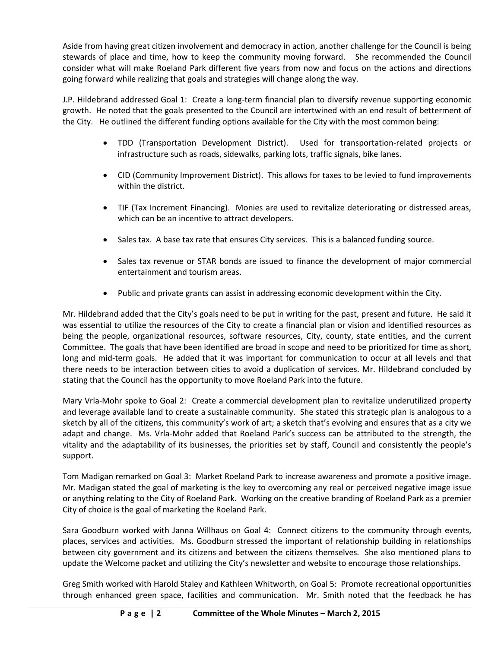Aside from having great citizen involvement and democracy in action, another challenge for the Council is being stewards of place and time, how to keep the community moving forward. She recommended the Council consider what will make Roeland Park different five years from now and focus on the actions and directions going forward while realizing that goals and strategies will change along the way.

J.P. Hildebrand addressed Goal 1: Create a long-term financial plan to diversify revenue supporting economic growth. He noted that the goals presented to the Council are intertwined with an end result of betterment of the City. He outlined the different funding options available for the City with the most common being:

- TDD (Transportation Development District). Used for transportation-related projects or infrastructure such as roads, sidewalks, parking lots, traffic signals, bike lanes.
- CID (Community Improvement District). This allows for taxes to be levied to fund improvements within the district.
- TIF (Tax Increment Financing). Monies are used to revitalize deteriorating or distressed areas, which can be an incentive to attract developers.
- Sales tax. A base tax rate that ensures City services. This is a balanced funding source.
- Sales tax revenue or STAR bonds are issued to finance the development of major commercial entertainment and tourism areas.
- Public and private grants can assist in addressing economic development within the City.

Mr. Hildebrand added that the City's goals need to be put in writing for the past, present and future. He said it was essential to utilize the resources of the City to create a financial plan or vision and identified resources as being the people, organizational resources, software resources, City, county, state entities, and the current Committee. The goals that have been identified are broad in scope and need to be prioritized for time as short, long and mid-term goals. He added that it was important for communication to occur at all levels and that there needs to be interaction between cities to avoid a duplication of services. Mr. Hildebrand concluded by stating that the Council has the opportunity to move Roeland Park into the future.

Mary Vrla-Mohr spoke to Goal 2: Create a commercial development plan to revitalize underutilized property and leverage available land to create a sustainable community. She stated this strategic plan is analogous to a sketch by all of the citizens, this community's work of art; a sketch that's evolving and ensures that as a city we adapt and change. Ms. Vrla-Mohr added that Roeland Park's success can be attributed to the strength, the vitality and the adaptability of its businesses, the priorities set by staff, Council and consistently the people's support.

Tom Madigan remarked on Goal 3: Market Roeland Park to increase awareness and promote a positive image. Mr. Madigan stated the goal of marketing is the key to overcoming any real or perceived negative image issue or anything relating to the City of Roeland Park. Working on the creative branding of Roeland Park as a premier City of choice is the goal of marketing the Roeland Park.

Sara Goodburn worked with Janna Willhaus on Goal 4: Connect citizens to the community through events, places, services and activities. Ms. Goodburn stressed the important of relationship building in relationships between city government and its citizens and between the citizens themselves. She also mentioned plans to update the Welcome packet and utilizing the City's newsletter and website to encourage those relationships.

Greg Smith worked with Harold Staley and Kathleen Whitworth, on Goal 5: Promote recreational opportunities through enhanced green space, facilities and communication. Mr. Smith noted that the feedback he has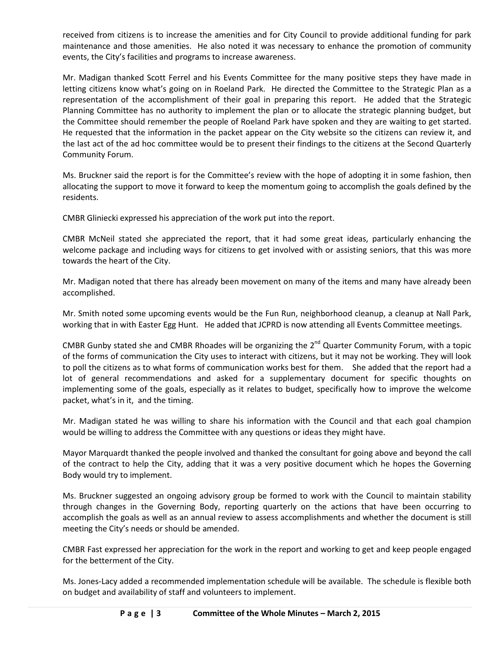received from citizens is to increase the amenities and for City Council to provide additional funding for park maintenance and those amenities. He also noted it was necessary to enhance the promotion of community events, the City's facilities and programs to increase awareness.

Mr. Madigan thanked Scott Ferrel and his Events Committee for the many positive steps they have made in letting citizens know what's going on in Roeland Park. He directed the Committee to the Strategic Plan as a representation of the accomplishment of their goal in preparing this report. He added that the Strategic Planning Committee has no authority to implement the plan or to allocate the strategic planning budget, but the Committee should remember the people of Roeland Park have spoken and they are waiting to get started. He requested that the information in the packet appear on the City website so the citizens can review it, and the last act of the ad hoc committee would be to present their findings to the citizens at the Second Quarterly Community Forum.

Ms. Bruckner said the report is for the Committee's review with the hope of adopting it in some fashion, then allocating the support to move it forward to keep the momentum going to accomplish the goals defined by the residents.

CMBR Gliniecki expressed his appreciation of the work put into the report.

CMBR McNeil stated she appreciated the report, that it had some great ideas, particularly enhancing the welcome package and including ways for citizens to get involved with or assisting seniors, that this was more towards the heart of the City.

Mr. Madigan noted that there has already been movement on many of the items and many have already been accomplished.

Mr. Smith noted some upcoming events would be the Fun Run, neighborhood cleanup, a cleanup at Nall Park, working that in with Easter Egg Hunt. He added that JCPRD is now attending all Events Committee meetings.

CMBR Gunby stated she and CMBR Rhoades will be organizing the 2<sup>nd</sup> Quarter Community Forum, with a topic of the forms of communication the City uses to interact with citizens, but it may not be working. They will look to poll the citizens as to what forms of communication works best for them. She added that the report had a lot of general recommendations and asked for a supplementary document for specific thoughts on implementing some of the goals, especially as it relates to budget, specifically how to improve the welcome packet, what's in it, and the timing.

Mr. Madigan stated he was willing to share his information with the Council and that each goal champion would be willing to address the Committee with any questions or ideas they might have.

Mayor Marquardt thanked the people involved and thanked the consultant for going above and beyond the call of the contract to help the City, adding that it was a very positive document which he hopes the Governing Body would try to implement.

Ms. Bruckner suggested an ongoing advisory group be formed to work with the Council to maintain stability through changes in the Governing Body, reporting quarterly on the actions that have been occurring to accomplish the goals as well as an annual review to assess accomplishments and whether the document is still meeting the City's needs or should be amended.

CMBR Fast expressed her appreciation for the work in the report and working to get and keep people engaged for the betterment of the City.

Ms. Jones-Lacy added a recommended implementation schedule will be available. The schedule is flexible both on budget and availability of staff and volunteers to implement.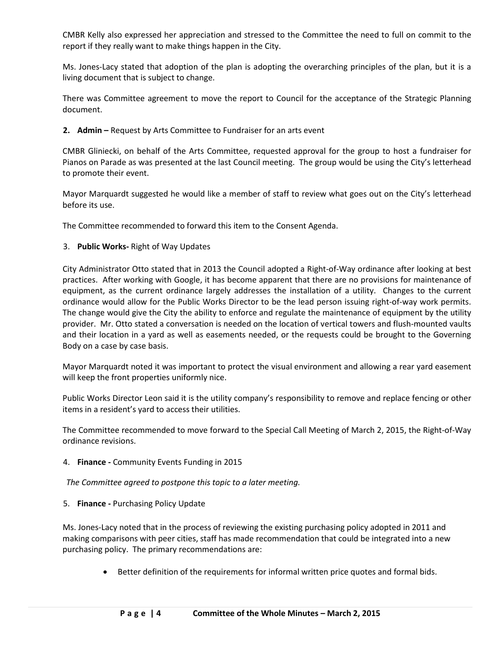CMBR Kelly also expressed her appreciation and stressed to the Committee the need to full on commit to the report if they really want to make things happen in the City.

Ms. Jones-Lacy stated that adoption of the plan is adopting the overarching principles of the plan, but it is a living document that is subject to change.

There was Committee agreement to move the report to Council for the acceptance of the Strategic Planning document.

**2. Admin –** Request by Arts Committee to Fundraiser for an arts event

CMBR Gliniecki, on behalf of the Arts Committee, requested approval for the group to host a fundraiser for Pianos on Parade as was presented at the last Council meeting. The group would be using the City's letterhead to promote their event.

Mayor Marquardt suggested he would like a member of staff to review what goes out on the City's letterhead before its use.

The Committee recommended to forward this item to the Consent Agenda.

3. **Public Works-** Right of Way Updates

City Administrator Otto stated that in 2013 the Council adopted a Right-of-Way ordinance after looking at best practices. After working with Google, it has become apparent that there are no provisions for maintenance of equipment, as the current ordinance largely addresses the installation of a utility. Changes to the current ordinance would allow for the Public Works Director to be the lead person issuing right-of-way work permits. The change would give the City the ability to enforce and regulate the maintenance of equipment by the utility provider. Mr. Otto stated a conversation is needed on the location of vertical towers and flush-mounted vaults and their location in a yard as well as easements needed, or the requests could be brought to the Governing Body on a case by case basis.

Mayor Marquardt noted it was important to protect the visual environment and allowing a rear yard easement will keep the front properties uniformly nice.

Public Works Director Leon said it is the utility company's responsibility to remove and replace fencing or other items in a resident's yard to access their utilities.

The Committee recommended to move forward to the Special Call Meeting of March 2, 2015, the Right-of-Way ordinance revisions.

4. **Finance -** Community Events Funding in 2015

*The Committee agreed to postpone this topic to a later meeting.*

5. **Finance -** Purchasing Policy Update

Ms. Jones-Lacy noted that in the process of reviewing the existing purchasing policy adopted in 2011 and making comparisons with peer cities, staff has made recommendation that could be integrated into a new purchasing policy. The primary recommendations are:

• Better definition of the requirements for informal written price quotes and formal bids.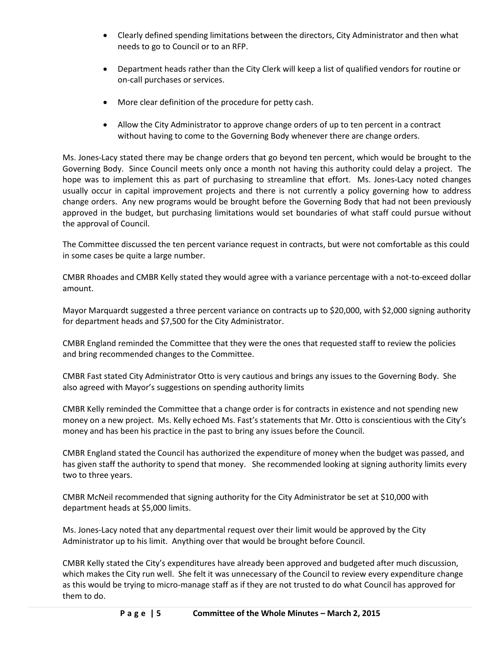- Clearly defined spending limitations between the directors, City Administrator and then what needs to go to Council or to an RFP.
- Department heads rather than the City Clerk will keep a list of qualified vendors for routine or on-call purchases or services.
- More clear definition of the procedure for petty cash.
- Allow the City Administrator to approve change orders of up to ten percent in a contract without having to come to the Governing Body whenever there are change orders.

Ms. Jones-Lacy stated there may be change orders that go beyond ten percent, which would be brought to the Governing Body. Since Council meets only once a month not having this authority could delay a project. The hope was to implement this as part of purchasing to streamline that effort. Ms. Jones-Lacy noted changes usually occur in capital improvement projects and there is not currently a policy governing how to address change orders. Any new programs would be brought before the Governing Body that had not been previously approved in the budget, but purchasing limitations would set boundaries of what staff could pursue without the approval of Council.

The Committee discussed the ten percent variance request in contracts, but were not comfortable as this could in some cases be quite a large number.

CMBR Rhoades and CMBR Kelly stated they would agree with a variance percentage with a not-to-exceed dollar amount.

Mayor Marquardt suggested a three percent variance on contracts up to \$20,000, with \$2,000 signing authority for department heads and \$7,500 for the City Administrator.

CMBR England reminded the Committee that they were the ones that requested staff to review the policies and bring recommended changes to the Committee.

CMBR Fast stated City Administrator Otto is very cautious and brings any issues to the Governing Body. She also agreed with Mayor's suggestions on spending authority limits

CMBR Kelly reminded the Committee that a change order is for contracts in existence and not spending new money on a new project. Ms. Kelly echoed Ms. Fast's statements that Mr. Otto is conscientious with the City's money and has been his practice in the past to bring any issues before the Council.

CMBR England stated the Council has authorized the expenditure of money when the budget was passed, and has given staff the authority to spend that money. She recommended looking at signing authority limits every two to three years.

CMBR McNeil recommended that signing authority for the City Administrator be set at \$10,000 with department heads at \$5,000 limits.

Ms. Jones-Lacy noted that any departmental request over their limit would be approved by the City Administrator up to his limit. Anything over that would be brought before Council.

CMBR Kelly stated the City's expenditures have already been approved and budgeted after much discussion, which makes the City run well. She felt it was unnecessary of the Council to review every expenditure change as this would be trying to micro-manage staff as if they are not trusted to do what Council has approved for them to do.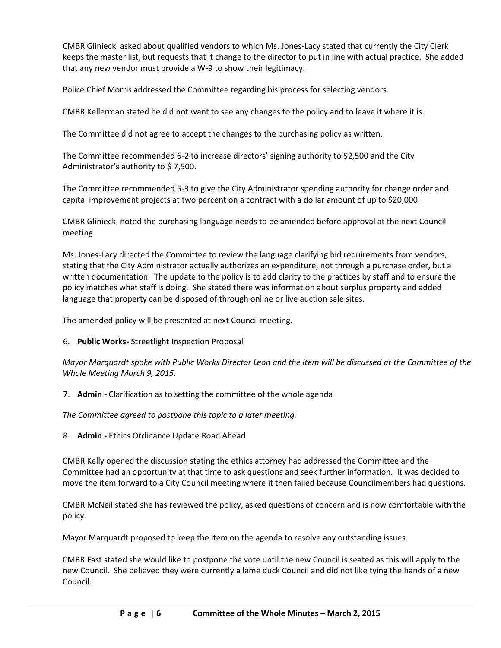CMBR Gliniecki asked about qualified vendors to which Ms. Jones-Lacy stated that currently the City Clerk keeps the master list, but requests that it change to the director to put in line with actual practice. She added that any new vendor must provide a W-9 to show their legitimacy.

Police Chief Morris addressed the Committee regarding his process for selecting vendors.

CMBR Kellerman stated he did not want to see any changes to the policy and to leave it where it is.

The Committee did not agree to accept the changes to the purchasing policy as written.

The Committee recommended 6-2 to increase directors' signing authority to \$2,500 and the City Administrator's authority to \$ 7,500.

The Committee recommended 5-3 to give the City Administrator spending authority for change order and capital improvement projects at two percent on a contract with a dollar amount of up to \$20,000.

CMBR Gliniecki noted the purchasing language needs to be amended before approval at the next Council meeting

Ms. Jones-Lacy directed the Committee to review the language clarifying bid requirements from vendors, stating that the City Administrator actually authorizes an expenditure, not through a purchase order, but a written documentation. The update to the policy is to add clarity to the practices by staff and to ensure the policy matches what staff is doing. She stated there was information about surplus property and added language that property can be disposed of through online or live auction sale sites.

The amended policy will be presented at next Council meeting.

6. **Public Works-** Streetlight Inspection Proposal

*Mayor Marquardt spoke with Public Works Director Leon and the item will be discussed at the Committee of the Whole Meeting March 9, 2015.* 

7. **Admin -** Clarification as to setting the committee of the whole agenda

*The Committee agreed to postpone this topic to a later meeting.*

8. **Admin -** Ethics Ordinance Update Road Ahead

CMBR Kelly opened the discussion stating the ethics attorney had addressed the Committee and the Committee had an opportunity at that time to ask questions and seek further information. It was decided to move the item forward to a City Council meeting where it then failed because Councilmembers had questions.

CMBR McNeil stated she has reviewed the policy, asked questions of concern and is now comfortable with the policy.

Mayor Marquardt proposed to keep the item on the agenda to resolve any outstanding issues.

CMBR Fast stated she would like to postpone the vote until the new Council is seated as this will apply to the new Council. She believed they were currently a lame duck Council and did not like tying the hands of a new Council.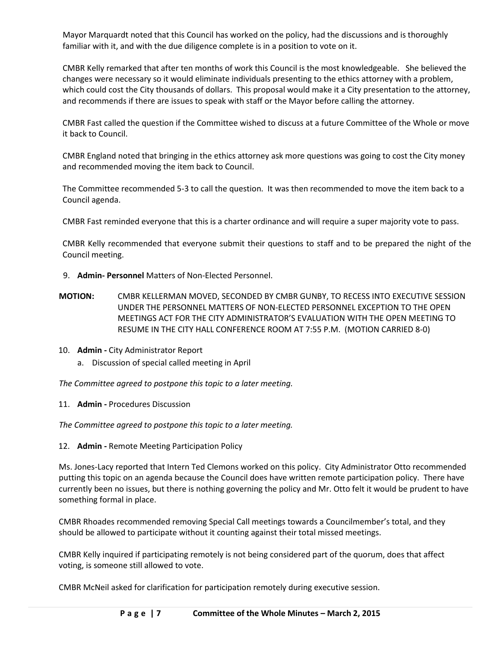Mayor Marquardt noted that this Council has worked on the policy, had the discussions and is thoroughly familiar with it, and with the due diligence complete is in a position to vote on it.

CMBR Kelly remarked that after ten months of work this Council is the most knowledgeable. She believed the changes were necessary so it would eliminate individuals presenting to the ethics attorney with a problem, which could cost the City thousands of dollars. This proposal would make it a City presentation to the attorney, and recommends if there are issues to speak with staff or the Mayor before calling the attorney.

CMBR Fast called the question if the Committee wished to discuss at a future Committee of the Whole or move it back to Council.

CMBR England noted that bringing in the ethics attorney ask more questions was going to cost the City money and recommended moving the item back to Council.

The Committee recommended 5-3 to call the question. It was then recommended to move the item back to a Council agenda.

CMBR Fast reminded everyone that this is a charter ordinance and will require a super majority vote to pass.

CMBR Kelly recommended that everyone submit their questions to staff and to be prepared the night of the Council meeting.

- 9. **Admin- Personnel** Matters of Non-Elected Personnel.
- **MOTION:** CMBR KELLERMAN MOVED, SECONDED BY CMBR GUNBY, TO RECESS INTO EXECUTIVE SESSION UNDER THE PERSONNEL MATTERS OF NON-ELECTED PERSONNEL EXCEPTION TO THE OPEN MEETINGS ACT FOR THE CITY ADMINISTRATOR'S EVALUATION WITH THE OPEN MEETING TO RESUME IN THE CITY HALL CONFERENCE ROOM AT 7:55 P.M. (MOTION CARRIED 8-0)
- 10. **Admin -** City Administrator Report
	- a. Discussion of special called meeting in April

*The Committee agreed to postpone this topic to a later meeting.*

11. **Admin -** Procedures Discussion

*The Committee agreed to postpone this topic to a later meeting.*

12. **Admin -** Remote Meeting Participation Policy

Ms. Jones-Lacy reported that Intern Ted Clemons worked on this policy. City Administrator Otto recommended putting this topic on an agenda because the Council does have written remote participation policy. There have currently been no issues, but there is nothing governing the policy and Mr. Otto felt it would be prudent to have something formal in place.

CMBR Rhoades recommended removing Special Call meetings towards a Councilmember's total, and they should be allowed to participate without it counting against their total missed meetings.

CMBR Kelly inquired if participating remotely is not being considered part of the quorum, does that affect voting, is someone still allowed to vote.

CMBR McNeil asked for clarification for participation remotely during executive session.